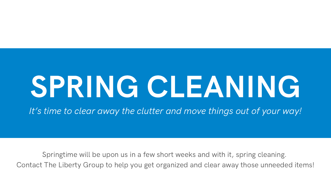# SPRING CLEANING It's time to clear away the clutter and move things out of your way!

Springtime will be upon us in a few short weeks and with it, spring cleaning. Contact The Liberty Group to help you get organized and clear away those unneeded items!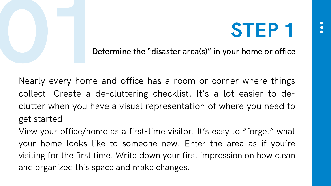

Determine the "disaster area(s)" in your home or office

Nearly every home and office has a room or corner where things collect. Create a de-cluttering checklist. It's a lot easier to declutter when you have a visual representation of where you need to get started.

View your office/home as a first-time visitor. It's easy to "forget" what your home looks like to someone new. Enter the area as if you're visiting for the first time. Write down your first impression on how clean and organized this space and make changes.

- 
-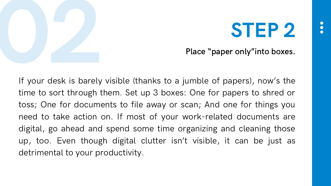

Place "paper only"into boxes.

If your desk is barely visible (thanks to a jumble of papers), now's the time to sort through them. Set up 3 boxes: One for papers to shred or toss; One for documents to file away or scan; And one for things you need to take action on. If most of your work-related documents are digital, go ahead and spend some time organizing and cleaning those up, too. Even though digital clutter isn't visible, it can be just as detrimental to your productivity.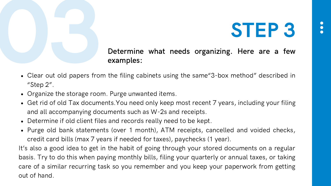

## Determine what needs organizing. Here are a few examples:

- Clear out old papers from the filing cabinets using the same "3-box method" described in "Step 2".
- Organize the storage room. Purge unwanted items.
- Get rid of old Tax documents. You need only keep most recent 7 years, including your filing and all accompanying documents such as W-2s and receipts.
- Determine if old client files and records really need to be kept.
- Purge old bank statements (over 1 month), ATM receipts, cancelled and voided checks, credit card bills (max 7 years if needed for taxes), paychecks (1 year). It's also a good idea to get in the habit of going through your stored documents on a regular basis. Try to do this when paying monthly bills, filing your quarterly or annual taxes, or taking care of a similar recurring task so you remember and you keep your paperwork from getting out of hand.

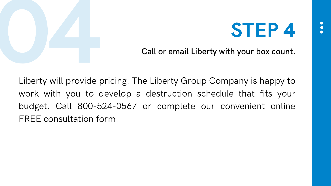

Call or email Liberty with your box count.

Liberty will provide pricing. The Liberty Group Company is happy to work with you to develop a destruction schedule that fits your budget. Call 800-524-0567 or complete our convenient online FREE consultation form.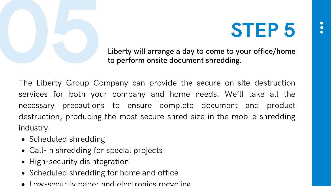

Liberty will arrange a day to come to your office/home to perform onsite document shredding.

The Liberty Group Company can provide the secure on-site destruction services for both your company and home needs. We'll take all the necessary precautions to ensure complete document and product destruction, producing the most secure shred size in the mobile shredding industry.

- Scheduled shredding
- Call-in shredding for special projects
- High-security disintegration
- Scheduled shredding for home and office
- $\bullet$  Low-security paper and electronics recycling



- 
-